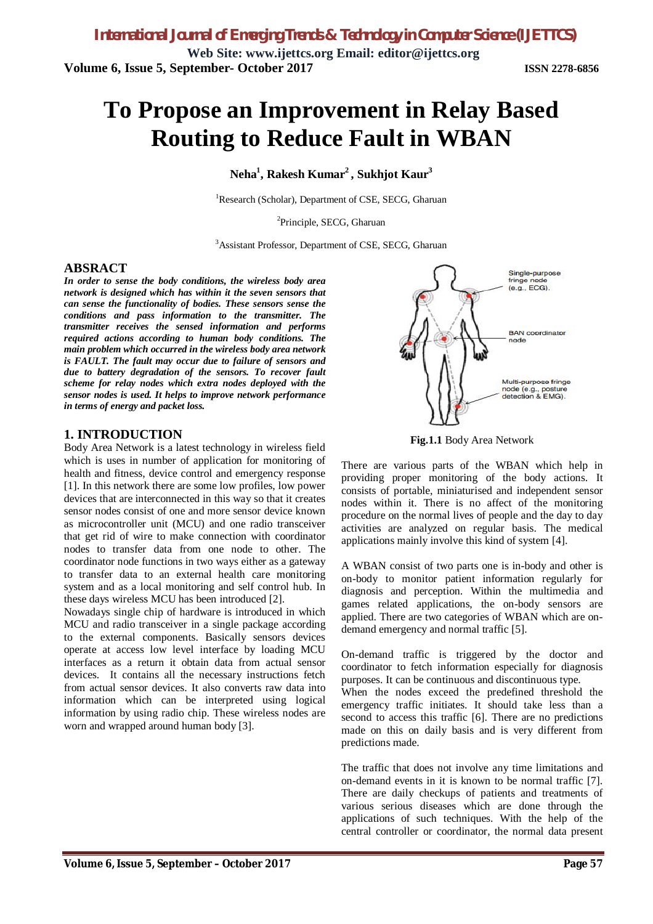# **To Propose an Improvement in Relay Based Routing to Reduce Fault in WBAN**

**Neha<sup>1</sup> , Rakesh Kumar<sup>2</sup> , Sukhjot Kaur<sup>3</sup>**

<sup>1</sup>Research (Scholar), Department of CSE, SECG, Gharuan

<sup>2</sup>Principle, SECG, Gharuan

<sup>3</sup>Assistant Professor, Department of CSE, SECG, Gharuan

#### **ABSRACT**

*In order to sense the body conditions, the wireless body area network is designed which has within it the seven sensors that can sense the functionality of bodies. These sensors sense the conditions and pass information to the transmitter. The transmitter receives the sensed information and performs required actions according to human body conditions. The main problem which occurred in the wireless body area network is FAULT. The fault may occur due to failure of sensors and due to battery degradation of the sensors. To recover fault scheme for relay nodes which extra nodes deployed with the sensor nodes is used. It helps to improve network performance in terms of energy and packet loss.*

## **1. INTRODUCTION**

Body Area Network is a latest technology in wireless field which is uses in number of application for monitoring of health and fitness, device control and emergency response [1]. In this network there are some low profiles, low power devices that are interconnected in this way so that it creates sensor nodes consist of one and more sensor device known as microcontroller unit (MCU) and one radio transceiver that get rid of wire to make connection with coordinator nodes to transfer data from one node to other. The coordinator node functions in two ways either as a gateway to transfer data to an external health care monitoring system and as a local monitoring and self control hub. In these days wireless MCU has been introduced [2].

Nowadays single chip of hardware is introduced in which MCU and radio transceiver in a single package according to the external components. Basically sensors devices operate at access low level interface by loading MCU interfaces as a return it obtain data from actual sensor devices. It contains all the necessary instructions fetch from actual sensor devices. It also converts raw data into information which can be interpreted using logical information by using radio chip. These wireless nodes are worn and wrapped around human body [3].



**Fig.1.1** Body Area Network

There are various parts of the WBAN which help in providing proper monitoring of the body actions. It consists of portable, miniaturised and independent sensor nodes within it. There is no affect of the monitoring procedure on the normal lives of people and the day to day activities are analyzed on regular basis. The medical applications mainly involve this kind of system [4].

A WBAN consist of two parts one is in-body and other is on-body to monitor patient information regularly for diagnosis and perception. Within the multimedia and games related applications, the on-body sensors are applied. There are two categories of WBAN which are ondemand emergency and normal traffic [5].

On-demand traffic is triggered by the doctor and coordinator to fetch information especially for diagnosis purposes. It can be continuous and discontinuous type.

When the nodes exceed the predefined threshold the emergency traffic initiates. It should take less than a second to access this traffic [6]. There are no predictions made on this on daily basis and is very different from predictions made.

The traffic that does not involve any time limitations and on-demand events in it is known to be normal traffic [7]. There are daily checkups of patients and treatments of various serious diseases which are done through the applications of such techniques. With the help of the central controller or coordinator, the normal data present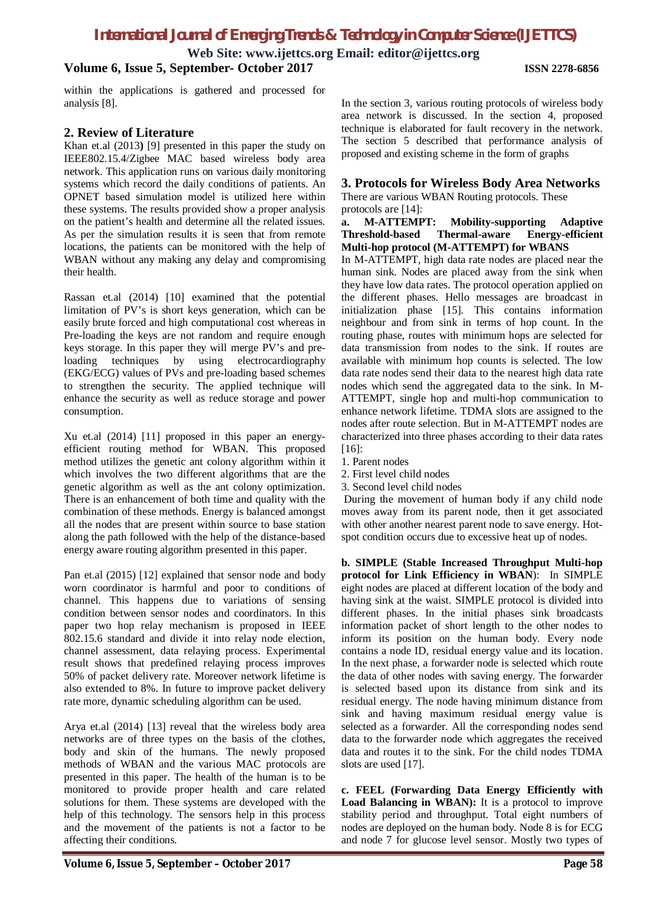# *International Journal of Emerging Trends & Technology in Computer Science (IJETTCS)*

**Web Site: www.ijettcs.org Email: editor@ijettcs.org**

#### **Volume 6, Issue 5, September- October 2017 ISSN 2278-6856**

within the applications is gathered and processed for analysis [8].

#### **2. Review of Literature**

Khan et.al (2013**)** [9] presented in this paper the study on IEEE802.15.4/Zigbee MAC based wireless body area network. This application runs on various daily monitoring systems which record the daily conditions of patients. An OPNET based simulation model is utilized here within these systems. The results provided show a proper analysis on the patient's health and determine all the related issues. As per the simulation results it is seen that from remote locations, the patients can be monitored with the help of WBAN without any making any delay and compromising their health.

Rassan et.al (2014) [10] examined that the potential limitation of PV's is short keys generation, which can be easily brute forced and high computational cost whereas in Pre-loading the keys are not random and require enough keys storage. In this paper they will merge PV's and preloading techniques by using electrocardiography (EKG/ECG) values of PVs and pre-loading based schemes to strengthen the security. The applied technique will enhance the security as well as reduce storage and power consumption.

Xu et.al (2014) [11] proposed in this paper an energyefficient routing method for WBAN. This proposed method utilizes the genetic ant colony algorithm within it which involves the two different algorithms that are the genetic algorithm as well as the ant colony optimization. There is an enhancement of both time and quality with the combination of these methods. Energy is balanced amongst all the nodes that are present within source to base station along the path followed with the help of the distance-based energy aware routing algorithm presented in this paper.

Pan et.al (2015) [12] explained that sensor node and body worn coordinator is harmful and poor to conditions of channel. This happens due to variations of sensing condition between sensor nodes and coordinators. In this paper two hop relay mechanism is proposed in IEEE 802.15.6 standard and divide it into relay node election, channel assessment, data relaying process. Experimental result shows that predefined relaying process improves 50% of packet delivery rate. Moreover network lifetime is also extended to 8%. In future to improve packet delivery rate more, dynamic scheduling algorithm can be used.

Arya et.al (2014) [13] reveal that the wireless body area networks are of three types on the basis of the clothes, body and skin of the humans. The newly proposed methods of WBAN and the various MAC protocols are presented in this paper. The health of the human is to be monitored to provide proper health and care related solutions for them. These systems are developed with the help of this technology. The sensors help in this process and the movement of the patients is not a factor to be affecting their conditions.

In the section 3, various routing protocols of wireless body area network is discussed. In the section 4, proposed technique is elaborated for fault recovery in the network. The section 5 described that performance analysis of proposed and existing scheme in the form of graphs

#### **3. Protocols for Wireless Body Area Networks**

There are various WBAN Routing protocols. These protocols are [14]:

#### **a. M-ATTEMPT: Mobility-supporting Adaptive Threshold-based Thermal-aware Energy-efficient Multi-hop protocol (M-ATTEMPT) for WBANS**

In M-ATTEMPT, high data rate nodes are placed near the human sink. Nodes are placed away from the sink when they have low data rates. The protocol operation applied on the different phases. Hello messages are broadcast in initialization phase [15]. This contains information neighbour and from sink in terms of hop count. In the routing phase, routes with minimum hops are selected for data transmission from nodes to the sink. If routes are available with minimum hop counts is selected. The low data rate nodes send their data to the nearest high data rate nodes which send the aggregated data to the sink. In M-ATTEMPT, single hop and multi-hop communication to enhance network lifetime. TDMA slots are assigned to the nodes after route selection. But in M-ATTEMPT nodes are characterized into three phases according to their data rates [16]:

- 1. Parent nodes
- 2. First level child nodes
- 3. Second level child nodes

During the movement of human body if any child node moves away from its parent node, then it get associated with other another nearest parent node to save energy. Hotspot condition occurs due to excessive heat up of nodes.

**b. SIMPLE (Stable Increased Throughput Multi-hop protocol for Link Efficiency in WBAN**): In SIMPLE eight nodes are placed at different location of the body and having sink at the waist. SIMPLE protocol is divided into different phases. In the initial phases sink broadcasts information packet of short length to the other nodes to inform its position on the human body. Every node contains a node ID, residual energy value and its location. In the next phase, a forwarder node is selected which route the data of other nodes with saving energy. The forwarder is selected based upon its distance from sink and its residual energy. The node having minimum distance from sink and having maximum residual energy value is selected as a forwarder. All the corresponding nodes send data to the forwarder node which aggregates the received data and routes it to the sink. For the child nodes TDMA slots are used [17].

**c. FEEL (Forwarding Data Energy Efficiently with Load Balancing in WBAN):** It is a protocol to improve stability period and throughput. Total eight numbers of nodes are deployed on the human body. Node 8 is for ECG and node 7 for glucose level sensor. Mostly two types of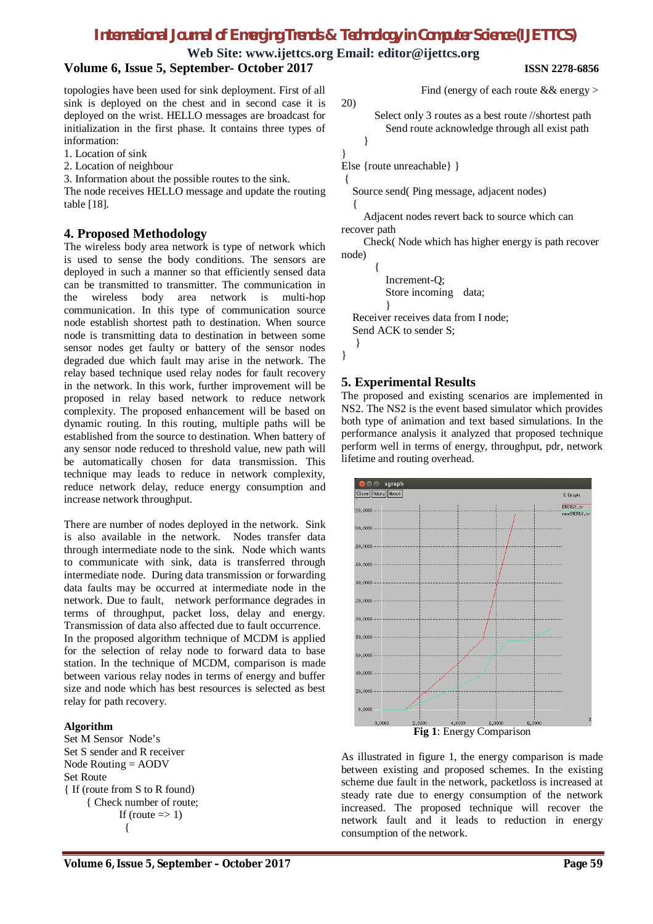**Web Site: www.ijettcs.org Email: editor@ijettcs.org**

## **Volume 6, Issue 5, September- October 2017 ISSN 2278-6856**

topologies have been used for sink deployment. First of all sink is deployed on the chest and in second case it is deployed on the wrist. HELLO messages are broadcast for initialization in the first phase. It contains three types of information:

1. Location of sink

2. Location of neighbour

3. Information about the possible routes to the sink.

The node receives HELLO message and update the routing table [18].

#### **4. Proposed Methodology**

The wireless body area network is type of network which is used to sense the body conditions. The sensors are deployed in such a manner so that efficiently sensed data can be transmitted to transmitter. The communication in the wireless body area network is multi-hop communication. In this type of communication source node establish shortest path to destination. When source node is transmitting data to destination in between some sensor nodes get faulty or battery of the sensor nodes degraded due which fault may arise in the network. The relay based technique used relay nodes for fault recovery in the network. In this work, further improvement will be proposed in relay based network to reduce network complexity. The proposed enhancement will be based on dynamic routing. In this routing, multiple paths will be established from the source to destination. When battery of any sensor node reduced to threshold value, new path will be automatically chosen for data transmission. This technique may leads to reduce in network complexity, reduce network delay, reduce energy consumption and increase network throughput.

There are number of nodes deployed in the network. Sink is also available in the network. Nodes transfer data through intermediate node to the sink. Node which wants to communicate with sink, data is transferred through intermediate node. During data transmission or forwarding data faults may be occurred at intermediate node in the network. Due to fault, network performance degrades in terms of throughput, packet loss, delay and energy. Transmission of data also affected due to fault occurrence. In the proposed algorithm technique of MCDM is applied for the selection of relay node to forward data to base station. In the technique of MCDM, comparison is made between various relay nodes in terms of energy and buffer size and node which has best resources is selected as best relay for path recovery.

#### **Algorithm**

Set M Sensor Node's Set S sender and R receiver Node Routing = AODV Set Route { If (route from S to R found) { Check number of route; If (route  $\Rightarrow$  1)  $\{$ 

20)

Find (energy of each route && energy >

Select only 3 routes as a best route //shortest path Send route acknowledge through all exist path }

}

Else {route unreachable} }

{

Source send( Ping message, adjacent nodes) {

Adjacent nodes revert back to source which can recover path

Check( Node which has higher energy is path recover node)

{ Increment-Q; Store incoming data; } Receiver receives data from I node; Send ACK to sender S; }

}

### **5. Experimental Results**

The proposed and existing scenarios are implemented in NS2. The NS2 is the event based simulator which provides both type of animation and text based simulations. In the performance analysis it analyzed that proposed technique perform well in terms of energy, throughput, pdr, network lifetime and routing overhead.



**Fig 1**: Energy Comparison

As illustrated in figure 1, the energy comparison is made between existing and proposed schemes. In the existing scheme due fault in the network, packetloss is increased at steady rate due to energy consumption of the network increased. The proposed technique will recover the network fault and it leads to reduction in energy consumption of the network.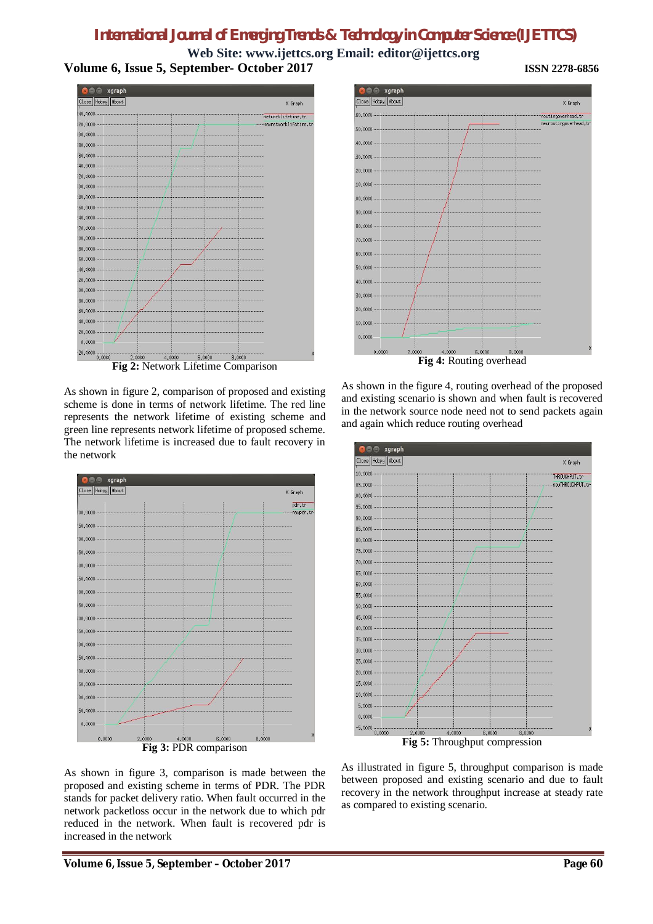# *International Journal of Emerging Trends & Technology in Computer Science (IJETTCS)*

**Web Site: www.ijettcs.org Email: editor@ijettcs.org Volume 6, Issue 5, September- October 2017 ISSN 2278-6856**



**Fig 2:** Network Lifetime Comparison

As shown in figure 2, comparison of proposed and existing scheme is done in terms of network lifetime. The red line represents the network lifetime of existing scheme and green line represents network lifetime of proposed scheme. The network lifetime is increased due to fault recovery in the network



As shown in figure 3, comparison is made between the proposed and existing scheme in terms of PDR. The PDR stands for packet delivery ratio. When fault occurred in the network packetloss occur in the network due to which pdr reduced in the network. When fault is recovered pdr is increased in the network



As shown in the figure 4, routing overhead of the proposed and existing scenario is shown and when fault is recovered in the network source node need not to send packets again and again which reduce routing overhead



**Fig 5:** Throughput compression

As illustrated in figure 5, throughput comparison is made between proposed and existing scenario and due to fault recovery in the network throughput increase at steady rate as compared to existing scenario.